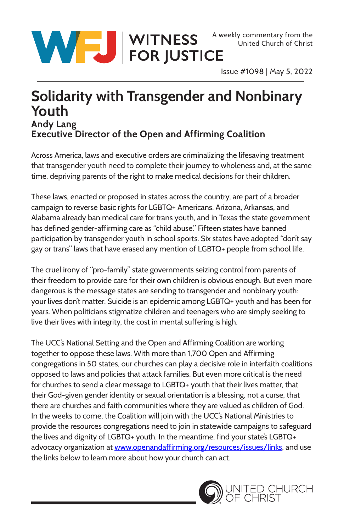

Issue #1098 | May 5, 2022

## **Solidarity with Transgender and Nonbinary Youth Andy Lang Executive Director of the Open and Affirming Coalition**

Across America, laws and executive orders are criminalizing the lifesaving treatment that transgender youth need to complete their journey to wholeness and, at the same time, depriving parents of the right to make medical decisions for their children.

These laws, enacted or proposed in states across the country, are part of a broader campaign to reverse basic rights for LGBTQ+ Americans. Arizona, Arkansas, and Alabama already ban medical care for trans youth, and in Texas the state government has defined gender-affirming care as "child abuse." Fifteen states have banned participation by transgender youth in school sports. Six states have adopted "don't say gay or trans" laws that have erased any mention of LGBTQ+ people from school life.

The cruel irony of "pro-family" state governments seizing control from parents of their freedom to provide care for their own children is obvious enough. But even more dangerous is the message states are sending to transgender and nonbinary youth: your lives don't matter. Suicide is an epidemic among LGBTQ+ youth and has been for years. When politicians stigmatize children and teenagers who are simply seeking to live their lives with integrity, the cost in mental suffering is high.

The UCC's National Setting and the Open and Affirming Coalition are working together to oppose these laws. With more than 1,700 Open and Affirming congregations in 50 states, our churches can play a decisive role in interfaith coalitions opposed to laws and policies that attack families. But even more critical is the need for churches to send a clear message to LGBTQ+ youth that their lives matter, that their God-given gender identity or sexual orientation is a blessing, not a curse, that there are churches and faith communities where they are valued as children of God. In the weeks to come, the Coalition will join with the UCC's National Ministries to provide the resources congregations need to join in statewide campaigns to safeguard the lives and dignity of LGBTQ+ youth. In the meantime, find your state's LGBTQ+ advocacy organization at [www.openandaffirming.org/resources/issues/links,](http://www.openandaffirming.org/resources/issues/links) and use the links below to learn more about how your church can act.